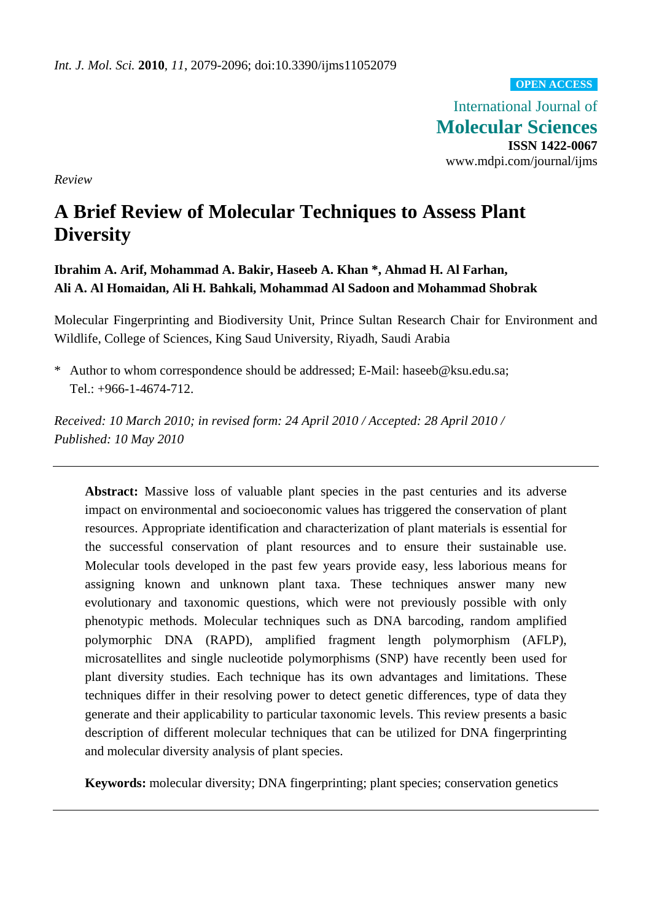**OPEN ACCESS**

International Journal of **Molecular Sciences ISSN 1422-0067**  www.mdpi.com/journal/ijms

*Review* 

# **A Brief Review of Molecular Techniques to Assess Plant Diversity**

**Ibrahim A. Arif, Mohammad A. Bakir, Haseeb A. Khan \*, Ahmad H. Al Farhan, Ali A. Al Homaidan, Ali H. Bahkali, Mohammad Al Sadoon and Mohammad Shobrak** 

Molecular Fingerprinting and Biodiversity Unit, Prince Sultan Research Chair for Environment and Wildlife, College of Sciences, King Saud University, Riyadh, Saudi Arabia

\* Author to whom correspondence should be addressed; E-Mail: haseeb@ksu.edu.sa; Tel.: +966-1-4674-712.

*Received: 10 March 2010; in revised form: 24 April 2010 / Accepted: 28 April 2010 / Published: 10 May 2010* 

**Abstract:** Massive loss of valuable plant species in the past centuries and its adverse impact on environmental and socioeconomic values has triggered the conservation of plant resources. Appropriate identification and characterization of plant materials is essential for the successful conservation of plant resources and to ensure their sustainable use. Molecular tools developed in the past few years provide easy, less laborious means for assigning known and unknown plant taxa. These techniques answer many new evolutionary and taxonomic questions, which were not previously possible with only phenotypic methods. Molecular techniques such as DNA barcoding, random amplified polymorphic DNA (RAPD), amplified fragment length polymorphism (AFLP), microsatellites and single nucleotide polymorphisms (SNP) have recently been used for plant diversity studies. Each technique has its own advantages and limitations. These techniques differ in their resolving power to detect genetic differences, type of data they generate and their applicability to particular taxonomic levels. This review presents a basic description of different molecular techniques that can be utilized for DNA fingerprinting and molecular diversity analysis of plant species.

**Keywords:** molecular diversity; DNA fingerprinting; plant species; conservation genetics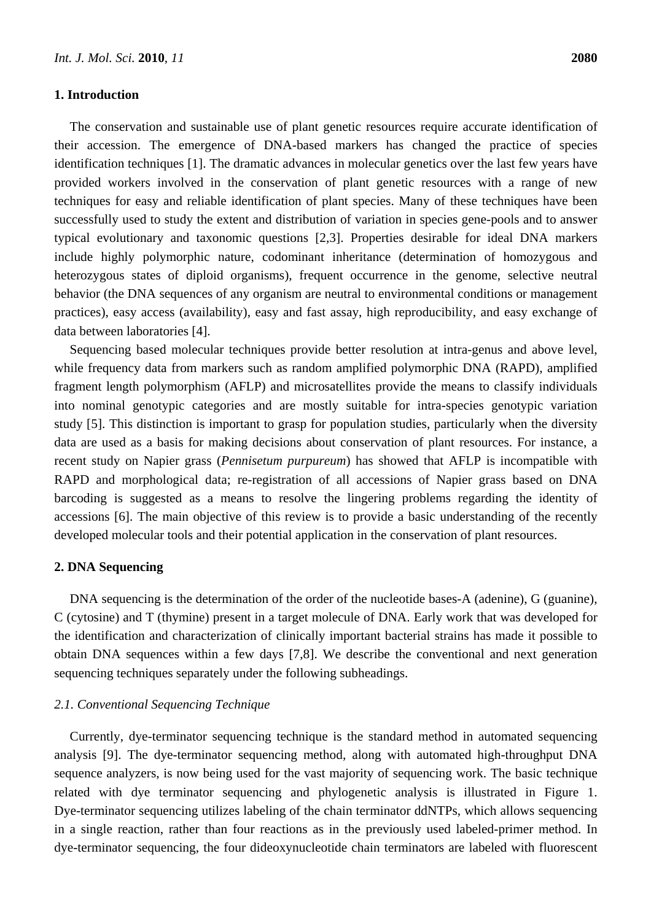## **1. Introduction**

The conservation and sustainable use of plant genetic resources require accurate identification of their accession. The emergence of DNA-based markers has changed the practice of species identification techniques [1]. The dramatic advances in molecular genetics over the last few years have provided workers involved in the conservation of plant genetic resources with a range of new techniques for easy and reliable identification of plant species. Many of these techniques have been successfully used to study the extent and distribution of variation in species gene-pools and to answer typical evolutionary and taxonomic questions [2,3]. Properties desirable for ideal DNA markers include highly polymorphic nature, codominant inheritance (determination of homozygous and heterozygous states of diploid organisms), frequent occurrence in the genome, selective neutral behavior (the DNA sequences of any organism are neutral to environmental conditions or management practices), easy access (availability), easy and fast assay, high reproducibility, and easy exchange of data between laboratories [4].

Sequencing based molecular techniques provide better resolution at intra-genus and above level, while frequency data from markers such as random amplified polymorphic DNA (RAPD), amplified fragment length polymorphism (AFLP) and microsatellites provide the means to classify individuals into nominal genotypic categories and are mostly suitable for intra-species genotypic variation study [5]. This distinction is important to grasp for population studies, particularly when the diversity data are used as a basis for making decisions about conservation of plant resources. For instance, a recent study on Napier grass (*Pennisetum purpureum*) has showed that AFLP is incompatible with RAPD and morphological data; re-registration of all accessions of Napier grass based on DNA barcoding is suggested as a means to resolve the lingering problems regarding the identity of accessions [6]. The main objective of this review is to provide a basic understanding of the recently developed molecular tools and their potential application in the conservation of plant resources.

## **2. DNA Sequencing**

DNA sequencing is the determination of the order of the nucleotide bases-A (adenine), G (guanine), C (cytosine) and T (thymine) present in a target molecule of DNA. Early work that was developed for the identification and characterization of clinically important bacterial strains has made it possible to obtain DNA sequences within a few days [7,8]. We describe the conventional and next generation sequencing techniques separately under the following subheadings.

## *2.1. Conventional Sequencing Technique*

Currently, dye-terminator sequencing technique is the standard method in automated sequencing analysis [9]. The dye-terminator sequencing method, along with automated high-throughput DNA sequence analyzers, is now being used for the vast majority of sequencing work. The basic technique related with dye terminator sequencing and phylogenetic analysis is illustrated in Figure 1. Dye-terminator sequencing utilizes labeling of the chain terminator ddNTPs, which allows sequencing in a single reaction, rather than four reactions as in the previously used labeled-primer method. In dye-terminator sequencing, the four dideoxynucleotide chain terminators are labeled with fluorescent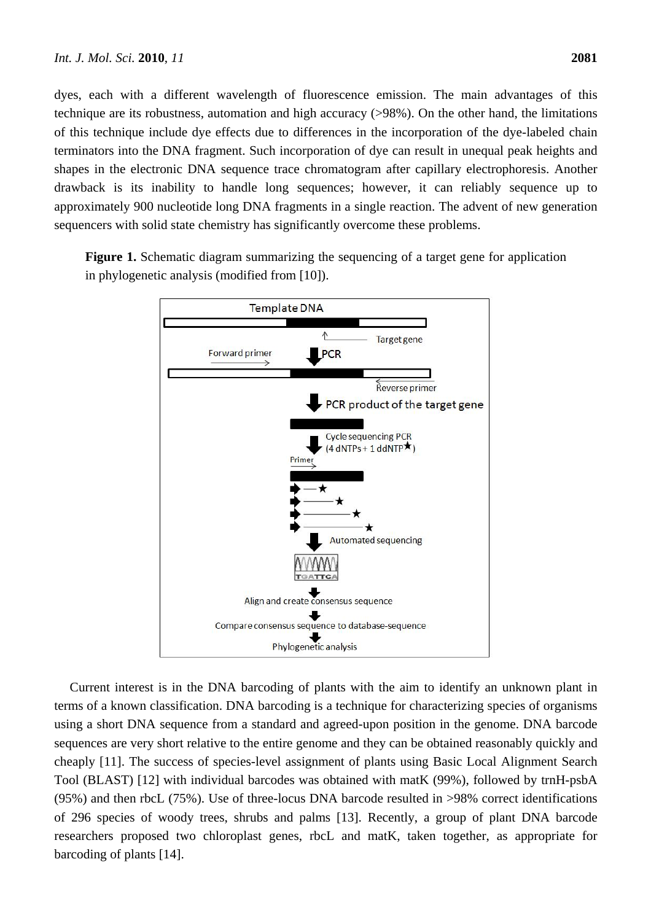dyes, each with a different wavelength of fluorescence emission. The main advantages of this technique are its robustness, automation and high accuracy (>98%). On the other hand, the limitations of this technique include dye effects due to differences in the incorporation of the dye-labeled chain terminators into the DNA fragment. Such incorporation of dye can result in unequal peak heights and shapes in the electronic DNA sequence trace chromatogram after capillary electrophoresis. Another drawback is its inability to handle long sequences; however, it can reliably sequence up to approximately 900 nucleotide long DNA fragments in a single reaction. The advent of new generation sequencers with solid state chemistry has significantly overcome these problems.

Figure 1. Schematic diagram summarizing the sequencing of a target gene for application in phylogenetic analysis (modified from [10]).



Current interest is in the DNA barcoding of plants with the aim to identify an unknown plant in terms of a known classification. DNA barcoding is a technique for characterizing species of organisms using a short DNA sequence from a standard and agreed-upon position in the genome. DNA barcode sequences are very short relative to the entire genome and they can be obtained reasonably quickly and cheaply [11]. The success of species-level assignment of plants using Basic Local Alignment Search Tool (BLAST) [12] with individual barcodes was obtained with matK (99%), followed by trnH-psbA (95%) and then rbcL (75%). Use of three-locus DNA barcode resulted in >98% correct identifications of 296 species of woody trees, shrubs and palms [13]. Recently, a group of plant DNA barcode researchers proposed two chloroplast genes, rbcL and matK, taken together, as appropriate for barcoding of plants [14].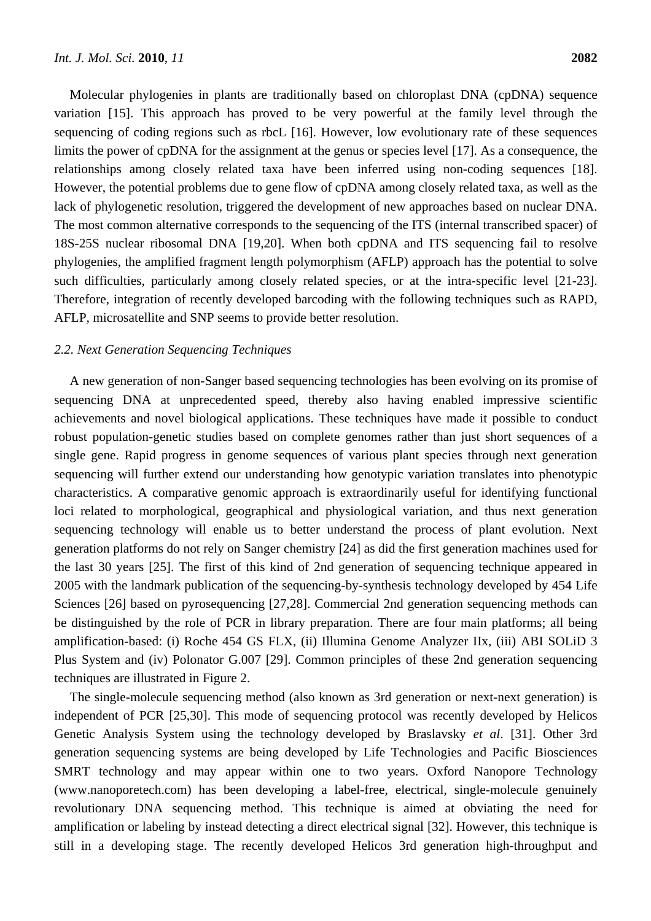Molecular phylogenies in plants are traditionally based on chloroplast DNA (cpDNA) sequence variation [15]. This approach has proved to be very powerful at the family level through the sequencing of coding regions such as rbcL [16]. However, low evolutionary rate of these sequences limits the power of cpDNA for the assignment at the genus or species level [17]. As a consequence, the relationships among closely related taxa have been inferred using non-coding sequences [18]. However, the potential problems due to gene flow of cpDNA among closely related taxa, as well as the lack of phylogenetic resolution, triggered the development of new approaches based on nuclear DNA. The most common alternative corresponds to the sequencing of the ITS (internal transcribed spacer) of 18S-25S nuclear ribosomal DNA [19,20]. When both cpDNA and ITS sequencing fail to resolve phylogenies, the amplified fragment length polymorphism (AFLP) approach has the potential to solve such difficulties, particularly among closely related species, or at the intra-specific level [21-23]. Therefore, integration of recently developed barcoding with the following techniques such as RAPD, AFLP, microsatellite and SNP seems to provide better resolution.

## *2.2. Next Generation Sequencing Techniques*

A new generation of non-Sanger based sequencing technologies has been evolving on its promise of sequencing DNA at unprecedented speed, thereby also having enabled impressive scientific achievements and novel biological applications. These techniques have made it possible to conduct robust population-genetic studies based on complete genomes rather than just short sequences of a single gene. Rapid progress in genome sequences of various plant species through next generation sequencing will further extend our understanding how genotypic variation translates into phenotypic characteristics. A comparative genomic approach is extraordinarily useful for identifying functional loci related to morphological, geographical and physiological variation, and thus next generation sequencing technology will enable us to better understand the process of plant evolution. Next generation platforms do not rely on Sanger chemistry [24] as did the first generation machines used for the last 30 years [25]. The first of this kind of 2nd generation of sequencing technique appeared in 2005 with the landmark publication of the sequencing-by-synthesis technology developed by 454 Life Sciences [26] based on pyrosequencing [27,28]. Commercial 2nd generation sequencing methods can be distinguished by the role of PCR in library preparation. There are four main platforms; all being amplification-based: (i) Roche 454 GS FLX, (ii) Illumina Genome Analyzer IIx, (iii) ABI SOLiD 3 Plus System and (iv) Polonator G.007 [29]. Common principles of these 2nd generation sequencing techniques are illustrated in Figure 2.

The single-molecule sequencing method (also known as 3rd generation or next-next generation) is independent of PCR [25,30]. This mode of sequencing protocol was recently developed by Helicos Genetic Analysis System using the technology developed by Braslavsky *et al*. [31]. Other 3rd generation sequencing systems are being developed by Life Technologies and Pacific Biosciences SMRT technology and may appear within one to two years. Oxford Nanopore Technology (www.nanoporetech.com) has been developing a label-free, electrical, single-molecule genuinely revolutionary DNA sequencing method. This technique is aimed at obviating the need for amplification or labeling by instead detecting a direct electrical signal [32]. However, this technique is still in a developing stage. The recently developed Helicos 3rd generation high-throughput and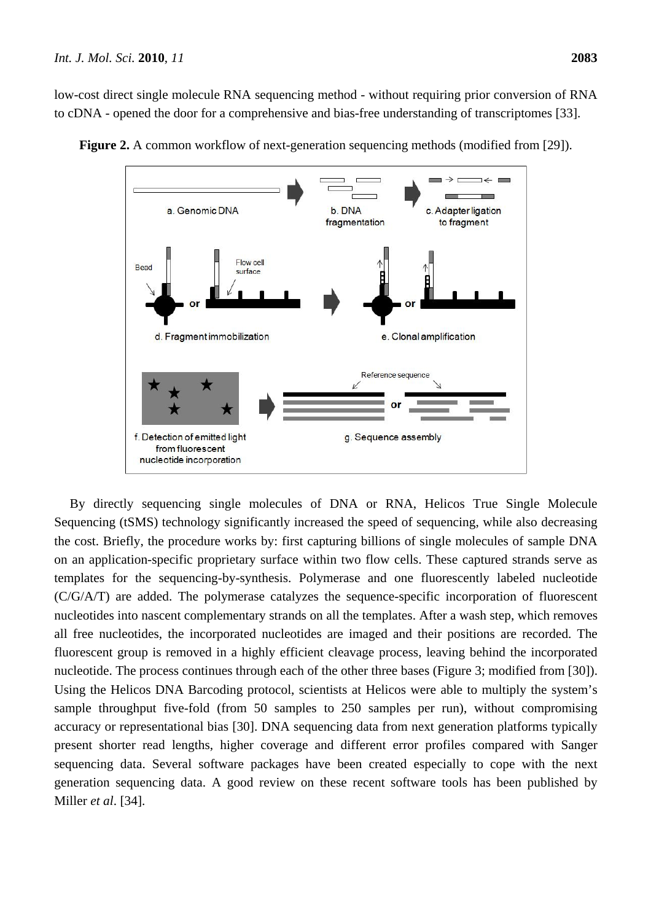low-cost direct single molecule RNA sequencing method - without requiring prior conversion of RNA to cDNA - opened the door for a comprehensive and bias-free understanding of transcriptomes [33].



**Figure 2.** A common workflow of next-generation sequencing methods (modified from [29]).

By directly sequencing single molecules of DNA or RNA, Helicos True Single Molecule Sequencing (tSMS) technology significantly increased the speed of sequencing, while also decreasing the cost. Briefly, the procedure works by: first capturing billions of single molecules of sample DNA on an application-specific proprietary surface within two flow cells. These captured strands serve as templates for the sequencing-by-synthesis. Polymerase and one fluorescently labeled nucleotide (C/G/A/T) are added. The polymerase catalyzes the sequence-specific incorporation of fluorescent nucleotides into nascent complementary strands on all the templates. After a wash step, which removes all free nucleotides, the incorporated nucleotides are imaged and their positions are recorded. The fluorescent group is removed in a highly efficient cleavage process, leaving behind the incorporated nucleotide. The process continues through each of the other three bases (Figure 3; modified from [30]). Using the Helicos DNA Barcoding protocol, scientists at Helicos were able to multiply the system's sample throughput five-fold (from 50 samples to 250 samples per run), without compromising accuracy or representational bias [30]. DNA sequencing data from next generation platforms typically present shorter read lengths, higher coverage and different error profiles compared with Sanger sequencing data. Several software packages have been created especially to cope with the next generation sequencing data. A good review on these recent software tools has been published by Miller *et al*. [34].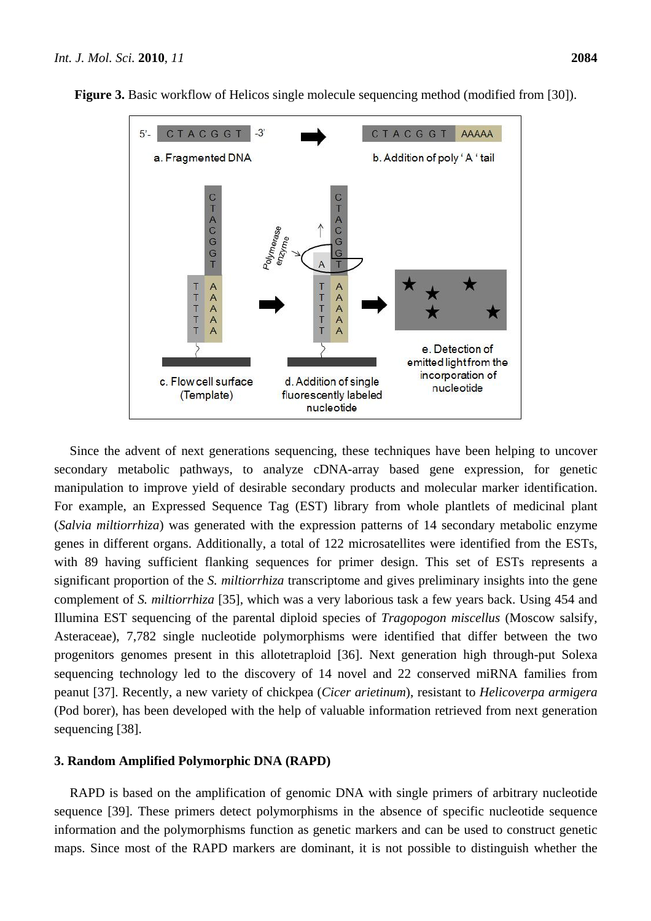

**Figure 3.** Basic workflow of Helicos single molecule sequencing method (modified from [30]).

Since the advent of next generations sequencing, these techniques have been helping to uncover secondary metabolic pathways, to analyze cDNA-array based gene expression, for genetic manipulation to improve yield of desirable secondary products and molecular marker identification. For example, an Expressed Sequence Tag (EST) library from whole plantlets of medicinal plant (*Salvia miltiorrhiza*) was generated with the expression patterns of 14 secondary metabolic enzyme genes in different organs. Additionally, a total of 122 microsatellites were identified from the ESTs, with 89 having sufficient flanking sequences for primer design. This set of ESTs represents a significant proportion of the *S. miltiorrhiza* transcriptome and gives preliminary insights into the gene complement of *S. miltiorrhiza* [35]*,* which was a very laborious task a few years back. Using 454 and Illumina EST sequencing of the parental diploid species of *Tragopogon miscellus* (Moscow salsify, Asteraceae), 7,782 single nucleotide polymorphisms were identified that differ between the two progenitors genomes present in this allotetraploid [36]. Next generation high through-put Solexa sequencing technology led to the discovery of 14 novel and 22 conserved miRNA families from peanut [37]. Recently, a new variety of chickpea (*Cicer arietinum*), resistant to *Helicoverpa armigera* (Pod borer), has been developed with the help of valuable information retrieved from next generation sequencing [38].

## **3. Random Amplified Polymorphic DNA (RAPD)**

RAPD is based on the amplification of genomic DNA with single primers of arbitrary nucleotide sequence [39]. These primers detect polymorphisms in the absence of specific nucleotide sequence information and the polymorphisms function as genetic markers and can be used to construct genetic maps. Since most of the RAPD markers are dominant, it is not possible to distinguish whether the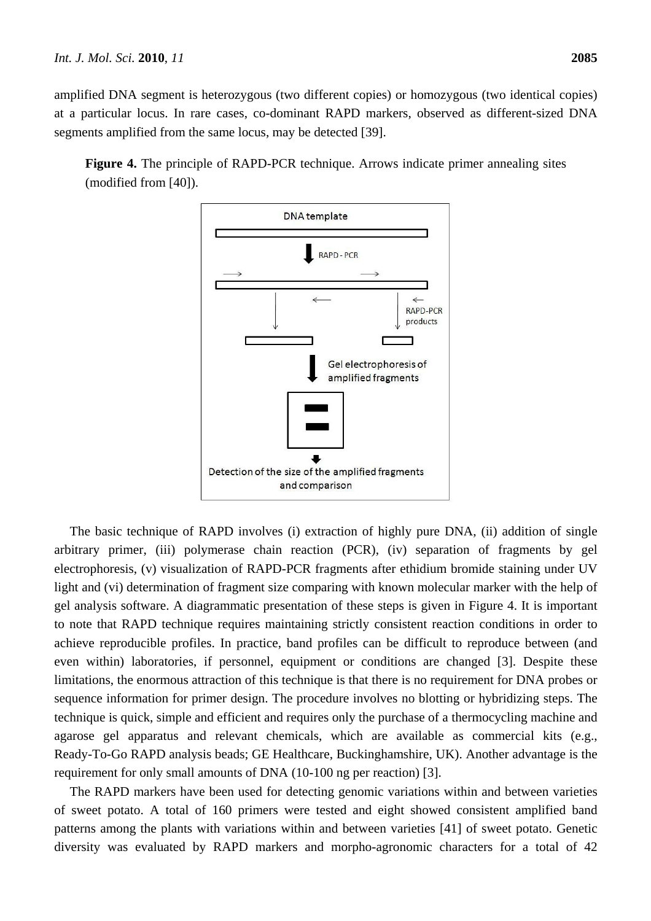amplified DNA segment is heterozygous (two different copies) or homozygous (two identical copies) at a particular locus. In rare cases, co-dominant RAPD markers, observed as different-sized DNA

**Figure 4.** The principle of RAPD-PCR technique. Arrows indicate primer annealing sites (modified from [40]).

segments amplified from the same locus, may be detected [39].



The basic technique of RAPD involves (i) extraction of highly pure DNA, (ii) addition of single arbitrary primer, (iii) polymerase chain reaction (PCR), (iv) separation of fragments by gel electrophoresis, (v) visualization of RAPD-PCR fragments after ethidium bromide staining under UV light and (vi) determination of fragment size comparing with known molecular marker with the help of gel analysis software. A diagrammatic presentation of these steps is given in Figure 4. It is important to note that RAPD technique requires maintaining strictly consistent reaction conditions in order to achieve reproducible profiles. In practice, band profiles can be difficult to reproduce between (and even within) laboratories, if personnel, equipment or conditions are changed [3]. Despite these limitations, the enormous attraction of this technique is that there is no requirement for DNA probes or sequence information for primer design. The procedure involves no blotting or hybridizing steps. The technique is quick, simple and efficient and requires only the purchase of a thermocycling machine and agarose gel apparatus and relevant chemicals, which are available as commercial kits (e.g., Ready-To-Go RAPD analysis beads; GE Healthcare, Buckinghamshire, UK). Another advantage is the requirement for only small amounts of DNA (10-100 ng per reaction) [3].

The RAPD markers have been used for detecting genomic variations within and between varieties of sweet potato. A total of 160 primers were tested and eight showed consistent amplified band patterns among the plants with variations within and between varieties [41] of sweet potato. Genetic diversity was evaluated by RAPD markers and morpho-agronomic characters for a total of 42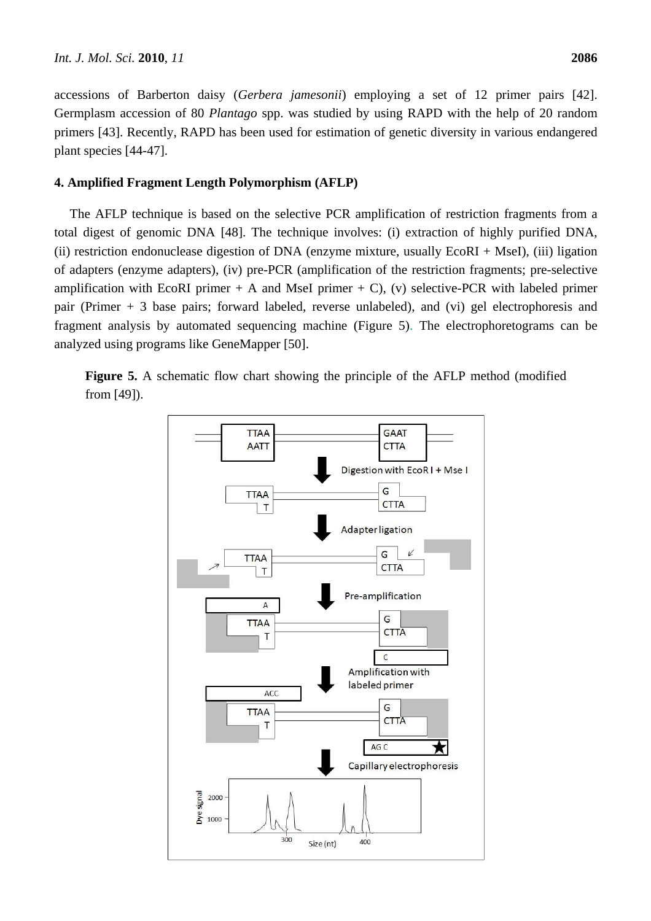accessions of Barberton daisy (*Gerbera jamesonii*) employing a set of 12 primer pairs [42]. Germplasm accession of 80 *Plantago* spp. was studied by using RAPD with the help of 20 random primers [43]. Recently, RAPD has been used for estimation of genetic diversity in various endangered plant species [44-47].

# **4. Amplified Fragment Length Polymorphism (AFLP)**

The AFLP technique is based on the selective PCR amplification of restriction fragments from a total digest of genomic DNA [48]. The technique involves: (i) extraction of highly purified DNA, (ii) restriction endonuclease digestion of DNA (enzyme mixture, usually EcoRI + MseI), (iii) ligation of adapters (enzyme adapters), (iv) pre-PCR (amplification of the restriction fragments; pre-selective amplification with EcoRI primer  $+$  A and MseI primer  $+$  C), (v) selective-PCR with labeled primer pair (Primer + 3 base pairs; forward labeled, reverse unlabeled), and (vi) gel electrophoresis and fragment analysis by automated sequencing machine (Figure 5). The electrophoretograms can be analyzed using programs like GeneMapper [50].

**Figure 5.** A schematic flow chart showing the principle of the AFLP method (modified from [49]).

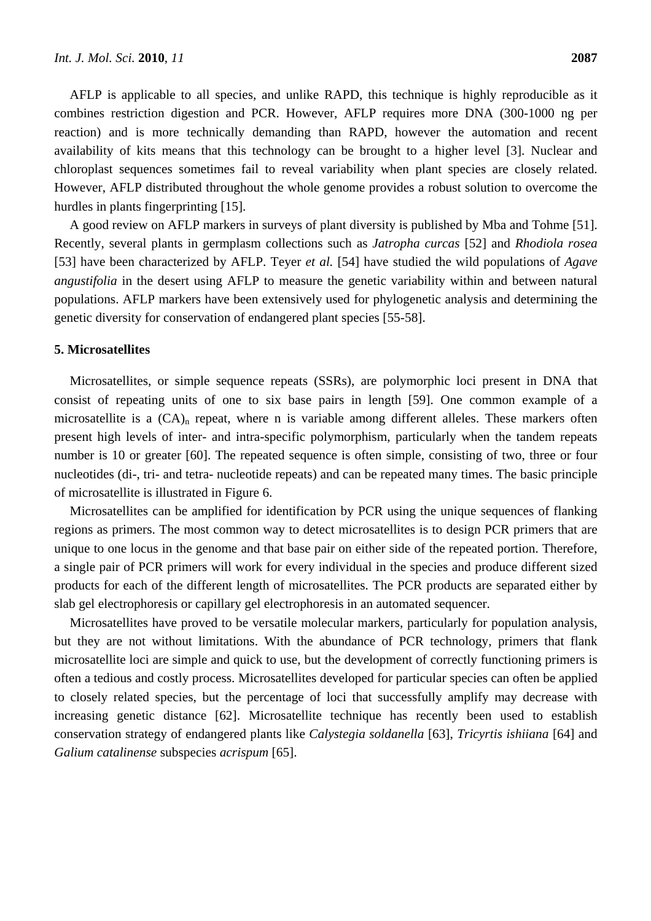AFLP is applicable to all species, and unlike RAPD, this technique is highly reproducible as it combines restriction digestion and PCR. However, AFLP requires more DNA (300-1000 ng per reaction) and is more technically demanding than RAPD, however the automation and recent availability of kits means that this technology can be brought to a higher level [3]. Nuclear and chloroplast sequences sometimes fail to reveal variability when plant species are closely related. However, AFLP distributed throughout the whole genome provides a robust solution to overcome the hurdles in plants fingerprinting [15].

A good review on AFLP markers in surveys of plant diversity is published by Mba and Tohme [51]. Recently, several plants in germplasm collections such as *Jatropha curcas* [52] and *Rhodiola rosea* [53] have been characterized by AFLP. Teyer *et al.* [54] have studied the wild populations of *Agave angustifolia* in the desert using AFLP to measure the genetic variability within and between natural populations. AFLP markers have been extensively used for phylogenetic analysis and determining the genetic diversity for conservation of endangered plant species [55-58].

### **5. Microsatellites**

Microsatellites, or simple sequence repeats (SSRs), are polymorphic loci present in DNA that consist of repeating units of one to six base pairs in length [59]. One common example of a microsatellite is a  $(CA)<sub>n</sub>$  repeat, where n is variable among different alleles. These markers often present high levels of inter- and intra-specific polymorphism, particularly when the tandem repeats number is 10 or greater [60]. The repeated sequence is often simple, consisting of two, three or four nucleotides (di-, tri- and tetra- nucleotide repeats) and can be repeated many times. The basic principle of microsatellite is illustrated in Figure 6.

Microsatellites can be amplified for identification by PCR using the unique sequences of flanking regions as primers. The most common way to detect microsatellites is to design PCR primers that are unique to one locus in the genome and that base pair on either side of the repeated portion. Therefore, a single pair of PCR primers will work for every individual in the species and produce different sized products for each of the different length of microsatellites. The PCR products are separated either by slab gel electrophoresis or capillary gel electrophoresis in an automated sequencer.

Microsatellites have proved to be versatile molecular markers, particularly for population analysis, but they are not without limitations. With the abundance of PCR technology, primers that flank microsatellite loci are simple and quick to use, but the development of correctly functioning primers is often a tedious and costly process. Microsatellites developed for particular species can often be applied to closely related species, but the percentage of loci that successfully amplify may decrease with increasing genetic distance [62]. Microsatellite technique has recently been used to establish conservation strategy of endangered plants like *Calystegia soldanella* [63], *Tricyrtis ishiiana* [64] and *Galium catalinense* subspecies *acrispum* [65].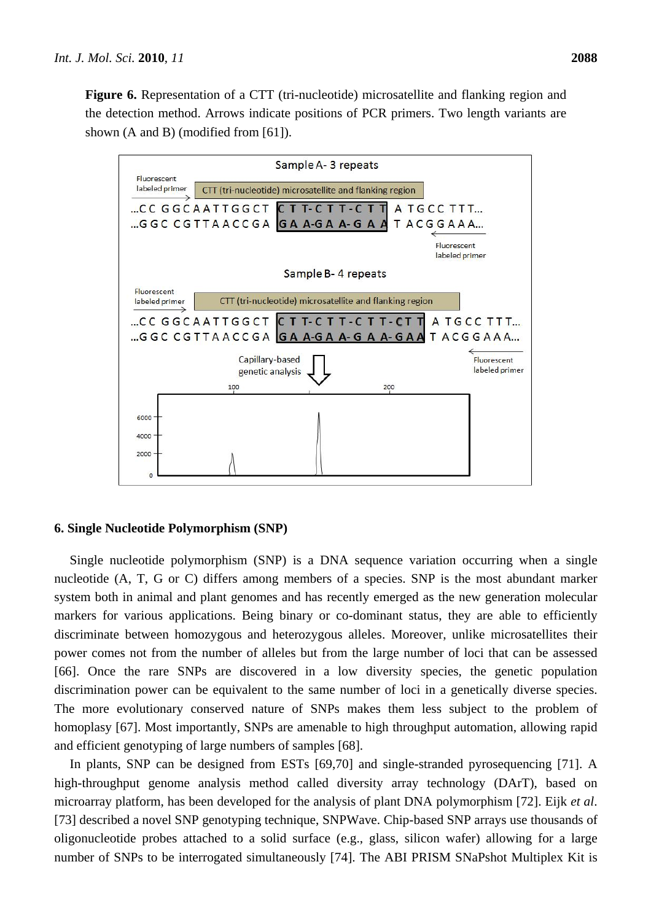**Figure 6.** Representation of a CTT (tri-nucleotide) microsatellite and flanking region and the detection method. Arrows indicate positions of PCR primers. Two length variants are shown (A and B) (modified from [61]).



#### **6. Single Nucleotide Polymorphism (SNP)**

Single nucleotide polymorphism (SNP) is a DNA sequence variation occurring when a single nucleotide (A, T, G or C) differs among members of a species. SNP is the most abundant marker system both in animal and plant genomes and has recently emerged as the new generation molecular markers for various applications. Being binary or co-dominant status, they are able to efficiently discriminate between homozygous and heterozygous alleles. Moreover, unlike microsatellites their power comes not from the number of alleles but from the large number of loci that can be assessed [66]. Once the rare SNPs are discovered in a low diversity species, the genetic population discrimination power can be equivalent to the same number of loci in a genetically diverse species. The more evolutionary conserved nature of SNPs makes them less subject to the problem of homoplasy [67]. Most importantly, SNPs are amenable to high throughput automation, allowing rapid and efficient genotyping of large numbers of samples [68].

In plants, SNP can be designed from ESTs [69,70] and single-stranded pyrosequencing [71]. A high-throughput genome analysis method called diversity array technology (DArT), based on microarray platform, has been developed for the analysis of plant DNA polymorphism [72]. Eijk *et al*. [73] described a novel SNP genotyping technique, SNPWave. Chip-based SNP arrays use thousands of oligonucleotide probes attached to a solid surface (e.g., glass, silicon wafer) allowing for a large number of SNPs to be interrogated simultaneously [74]. The ABI PRISM SNaPshot Multiplex Kit is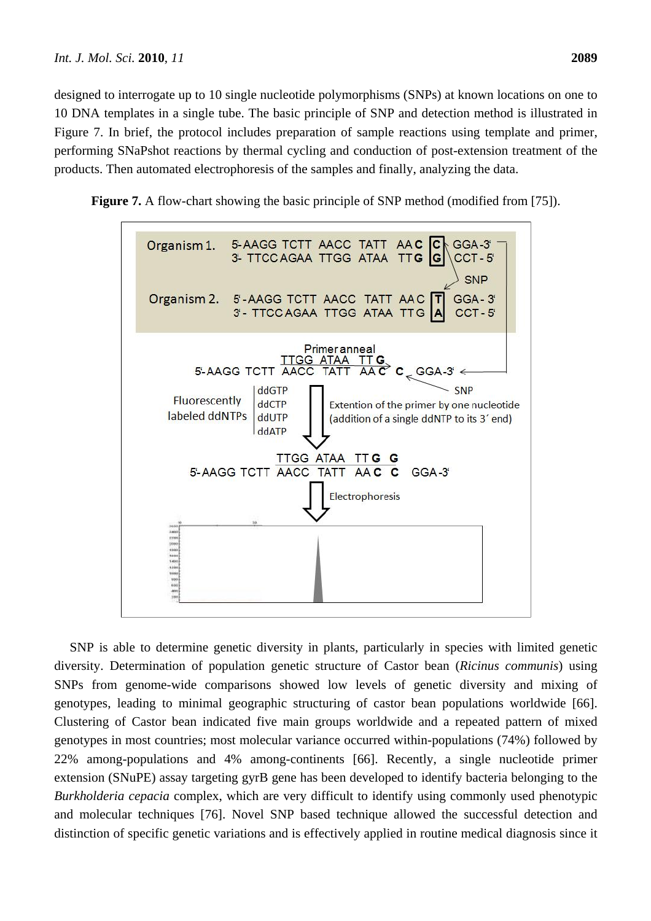designed to interrogate up to 10 single nucleotide polymorphisms (SNPs) at known locations on one to 10 DNA templates in a single tube. The basic principle of SNP and detection method is illustrated in Figure 7. In brief, the protocol includes preparation of sample reactions using template and primer, performing SNaPshot reactions by thermal cycling and conduction of post-extension treatment of the products. Then automated electrophoresis of the samples and finally, analyzing the data.





SNP is able to determine genetic diversity in plants, particularly in species with limited genetic diversity. Determination of population genetic structure of Castor bean (*Ricinus communis*) using SNPs from genome-wide comparisons showed low levels of genetic diversity and mixing of genotypes, leading to minimal geographic structuring of castor bean populations worldwide [66]. Clustering of Castor bean indicated five main groups worldwide and a repeated pattern of mixed genotypes in most countries; most molecular variance occurred within-populations (74%) followed by 22% among-populations and 4% among-continents [66]. Recently, a single nucleotide primer extension (SNuPE) assay targeting gyrB gene has been developed to identify bacteria belonging to the *Burkholderia cepacia* complex, which are very difficult to identify using commonly used phenotypic and molecular techniques [76]. Novel SNP based technique allowed the successful detection and distinction of specific genetic variations and is effectively applied in routine medical diagnosis since it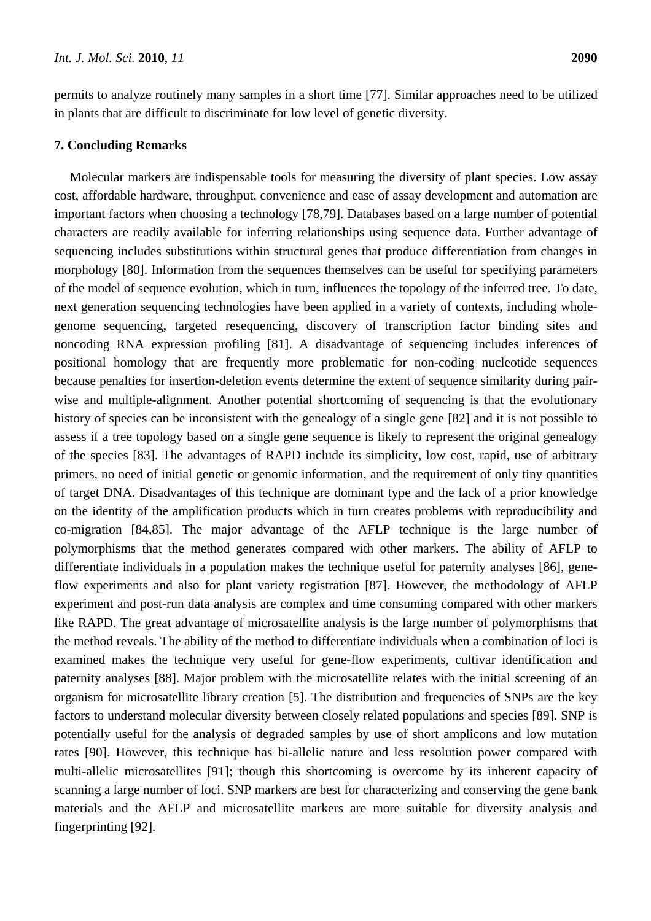permits to analyze routinely many samples in a short time [77]. Similar approaches need to be utilized in plants that are difficult to discriminate for low level of genetic diversity.

## **7. Concluding Remarks**

Molecular markers are indispensable tools for measuring the diversity of plant species. Low assay cost, affordable hardware, throughput, convenience and ease of assay development and automation are important factors when choosing a technology [78,79]. Databases based on a large number of potential characters are readily available for inferring relationships using sequence data. Further advantage of sequencing includes substitutions within structural genes that produce differentiation from changes in morphology [80]. Information from the sequences themselves can be useful for specifying parameters of the model of sequence evolution, which in turn, influences the topology of the inferred tree. To date, next generation sequencing technologies have been applied in a variety of contexts, including wholegenome sequencing, targeted resequencing, discovery of transcription factor binding sites and noncoding RNA expression profiling [81]. A disadvantage of sequencing includes inferences of positional homology that are frequently more problematic for non-coding nucleotide sequences because penalties for insertion-deletion events determine the extent of sequence similarity during pairwise and multiple-alignment. Another potential shortcoming of sequencing is that the evolutionary history of species can be inconsistent with the genealogy of a single gene [82] and it is not possible to assess if a tree topology based on a single gene sequence is likely to represent the original genealogy of the species [83]. The advantages of RAPD include its simplicity, low cost, rapid, use of arbitrary primers, no need of initial genetic or genomic information, and the requirement of only tiny quantities of target DNA. Disadvantages of this technique are dominant type and the lack of a prior knowledge on the identity of the amplification products which in turn creates problems with reproducibility and co-migration [84,85]. The major advantage of the AFLP technique is the large number of polymorphisms that the method generates compared with other markers. The ability of AFLP to differentiate individuals in a population makes the technique useful for paternity analyses [86], geneflow experiments and also for plant variety registration [87]. However, the methodology of AFLP experiment and post-run data analysis are complex and time consuming compared with other markers like RAPD. The great advantage of microsatellite analysis is the large number of polymorphisms that the method reveals. The ability of the method to differentiate individuals when a combination of loci is examined makes the technique very useful for gene-flow experiments, cultivar identification and paternity analyses [88]. Major problem with the microsatellite relates with the initial screening of an organism for microsatellite library creation [5]. The distribution and frequencies of SNPs are the key factors to understand molecular diversity between closely related populations and species [89]. SNP is potentially useful for the analysis of degraded samples by use of short amplicons and low mutation rates [90]. However, this technique has bi-allelic nature and less resolution power compared with multi-allelic microsatellites [91]; though this shortcoming is overcome by its inherent capacity of scanning a large number of loci. SNP markers are best for characterizing and conserving the gene bank materials and the AFLP and microsatellite markers are more suitable for diversity analysis and fingerprinting [92].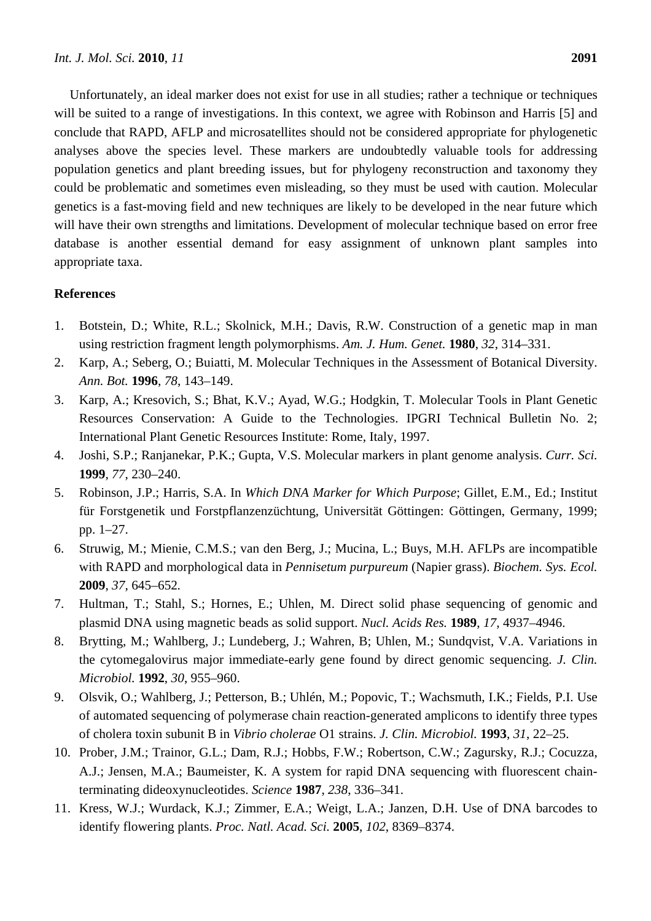Unfortunately, an ideal marker does not exist for use in all studies; rather a technique or techniques will be suited to a range of investigations. In this context, we agree with Robinson and Harris [5] and conclude that RAPD, AFLP and microsatellites should not be considered appropriate for phylogenetic analyses above the species level. These markers are undoubtedly valuable tools for addressing population genetics and plant breeding issues, but for phylogeny reconstruction and taxonomy they could be problematic and sometimes even misleading, so they must be used with caution. Molecular genetics is a fast-moving field and new techniques are likely to be developed in the near future which will have their own strengths and limitations. Development of molecular technique based on error free database is another essential demand for easy assignment of unknown plant samples into appropriate taxa.

## **References**

- 1. Botstein, D.; White, R.L.; Skolnick, M.H.; Davis, R.W. Construction of a genetic map in man using restriction fragment length polymorphisms. *Am. J. Hum. Genet.* **1980**, *32*, 314–331.
- 2. Karp, A.; Seberg, O.; Buiatti, M. Molecular Techniques in the Assessment of Botanical Diversity. *Ann. Bot.* **1996**, *78*, 143–149.
- 3. Karp, A.; Kresovich, S.; Bhat, K.V.; Ayad, W.G.; Hodgkin, T. Molecular Tools in Plant Genetic Resources Conservation: A Guide to the Technologies. IPGRI Technical Bulletin No. 2; International Plant Genetic Resources Institute: Rome, Italy, 1997.
- 4. Joshi, S.P.; Ranjanekar, P.K.; Gupta, V.S. Molecular markers in plant genome analysis. *Curr. Sci.* **1999**, *77*, 230–240.
- 5. Robinson, J.P.; Harris, S.A. In *Which DNA Marker for Which Purpose*; Gillet, E.M., Ed.; Institut für Forstgenetik und Forstpflanzenzüchtung, Universität Göttingen: Göttingen, Germany, 1999; pp. 1–27.
- 6. Struwig, M.; Mienie, C.M.S.; van den Berg, J.; Mucina, L.; Buys, M.H. AFLPs are incompatible with RAPD and morphological data in *Pennisetum purpureum* (Napier grass). *Biochem. Sys. Ecol.* **2009**, *37*, 645–652*.*
- 7. Hultman, T.; Stahl, S.; Hornes, E.; Uhlen, M. Direct solid phase sequencing of genomic and plasmid DNA using magnetic beads as solid support. *Nucl. Acids Res.* **1989**, *17*, 4937–4946.
- 8. Brytting, M.; Wahlberg, J.; Lundeberg, J.; Wahren, B; Uhlen, M.; Sundqvist, V.A. Variations in the cytomegalovirus major immediate-early gene found by direct genomic sequencing. *J. Clin. Microbiol.* **1992**, *30*, 955–960.
- 9. Olsvik, O.; Wahlberg, J.; Petterson, B.; Uhlén, M.; Popovic, T.; Wachsmuth, I.K.; Fields, P.I. Use of automated sequencing of polymerase chain reaction-generated amplicons to identify three types of cholera toxin subunit B in *Vibrio cholerae* O1 strains. *J. Clin. Microbiol.* **1993**, *31*, 22–25.
- 10. Prober, J.M.; Trainor, G.L.; Dam, R.J.; Hobbs, F.W.; Robertson, C.W.; Zagursky, R.J.; Cocuzza, A.J.; Jensen, M.A.; Baumeister, K. A system for rapid DNA sequencing with fluorescent chainterminating dideoxynucleotides. *Science* **1987**, *238*, 336–341.
- 11. Kress, W.J.; Wurdack, K.J.; Zimmer, E.A.; Weigt, L.A.; Janzen, D.H. Use of DNA barcodes to identify flowering plants. *Proc. Natl. Acad. Sci.* **2005**, *102*, 8369–8374.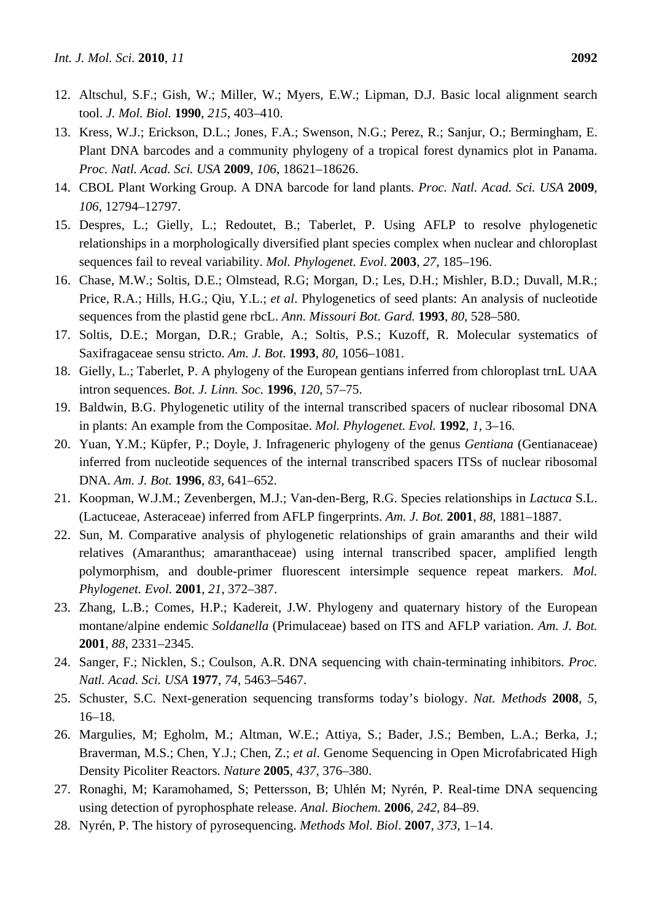- 12. Altschul, S.F.; Gish, W.; Miller, W.; Myers, E.W.; Lipman, D.J. Basic local alignment search tool. *J. Mol. Biol.* **1990**, *215*, 403–410.
- 13. Kress, W.J.; Erickson, D.L.; Jones, F.A.; Swenson, N.G.; Perez, R.; Sanjur, O.; Bermingham, E. Plant DNA barcodes and a community phylogeny of a tropical forest dynamics plot in Panama. *Proc. Natl. Acad. Sci. USA* **2009**, *106*, 18621–18626.
- 14. CBOL Plant Working Group. A DNA barcode for land plants. *Proc. Natl. Acad. Sci. USA* **2009**, *106*, 12794–12797.
- 15. Despres, L.; Gielly, L.; Redoutet, B.; Taberlet, P. Using AFLP to resolve phylogenetic relationships in a morphologically diversified plant species complex when nuclear and chloroplast sequences fail to reveal variability. *Mol. Phylogenet. Evol*. **2003**, *27*, 185–196.
- 16. Chase, M.W.; Soltis, D.E.; Olmstead, R.G; Morgan, D.; Les, D.H.; Mishler, B.D.; Duvall, M.R.; Price, R.A.; Hills, H.G.; Qiu, Y.L.; *et al*. Phylogenetics of seed plants: An analysis of nucleotide sequences from the plastid gene rbcL. *Ann. Missouri Bot. Gard.* **1993**, *80*, 528–580.
- 17. Soltis, D.E.; Morgan, D.R.; Grable, A.; Soltis, P.S.; Kuzoff, R. Molecular systematics of Saxifragaceae sensu stricto. *Am. J. Bot*. **1993**, *80*, 1056–1081.
- 18. Gielly, L.; Taberlet, P. A phylogeny of the European gentians inferred from chloroplast trnL UAA intron sequences. *Bot. J. Linn. Soc.* **1996**, *120*, 57–75.
- 19. Baldwin, B.G. Phylogenetic utility of the internal transcribed spacers of nuclear ribosomal DNA in plants: An example from the Compositae. *Mol. Phylogenet. Evol.* **1992**, *1*, 3–16.
- 20. Yuan, Y.M.; Küpfer, P.; Doyle, J. Infrageneric phylogeny of the genus *Gentiana* (Gentianaceae) inferred from nucleotide sequences of the internal transcribed spacers ITSs of nuclear ribosomal DNA. *Am. J. Bot.* **1996**, *83*, 641–652.
- 21. Koopman, W.J.M.; Zevenbergen, M.J.; Van-den-Berg, R.G. Species relationships in *Lactuca* S.L. (Lactuceae, Asteraceae) inferred from AFLP fingerprints. *Am. J. Bot.* **2001**, *88*, 1881–1887.
- 22. Sun, M. Comparative analysis of phylogenetic relationships of grain amaranths and their wild relatives (Amaranthus; amaranthaceae) using internal transcribed spacer, amplified length polymorphism, and double-primer fluorescent intersimple sequence repeat markers. *Mol. Phylogenet. Evol.* **2001**, *21*, 372–387.
- 23. Zhang, L.B.; Comes, H.P.; Kadereit, J.W. Phylogeny and quaternary history of the European montane/alpine endemic *Soldanella* (Primulaceae) based on ITS and AFLP variation. *Am. J. Bot.*  **2001**, *88*, 2331–2345.
- 24. Sanger, F.; Nicklen, S.; Coulson, A.R. DNA sequencing with chain-terminating inhibitors. *Proc. Natl. Acad. Sci. USA* **1977**, *74*, 5463–5467.
- 25. Schuster, S.C. Next-generation sequencing transforms today's biology. *Nat. Methods* **2008**, *5*, 16–18.
- 26. Margulies, M; Egholm, M.; Altman, W.E.; Attiya, S.; Bader, J.S.; Bemben, L.A.; Berka, J.; Braverman, M.S.; Chen, Y.J.; Chen, Z.; *et al*. Genome Sequencing in Open Microfabricated High Density Picoliter Reactors. *Nature* **2005**, *437*, 376–380.
- 27. Ronaghi, M; Karamohamed, S; Pettersson, B; Uhlén M; Nyrén, P. Real-time DNA sequencing using detection of pyrophosphate release. *Anal. Biochem.* **2006**, *242*, 84–89.
- 28. Nyrén, P. The history of pyrosequencing. *Methods Mol. Biol*. **2007**, *373*, 1–14.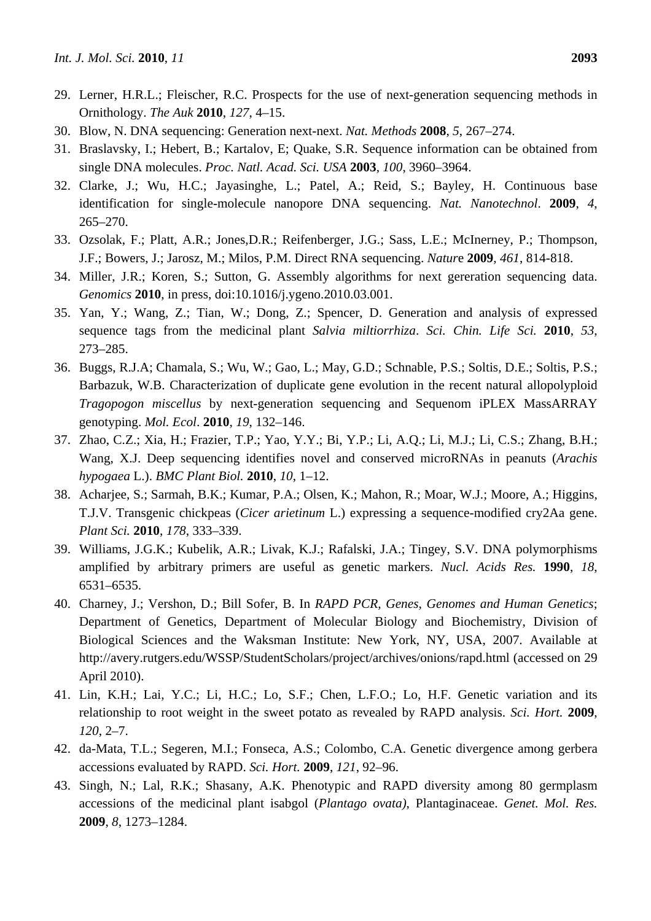- 29. Lerner, H.R.L.; Fleischer, R.C. Prospects for the use of next-generation sequencing methods in Ornithology. *The Auk* **2010**, *127*, 4–15.
- 30. Blow, N. DNA sequencing: Generation next-next. *Nat. Methods* **2008**, *5*, 267–274.
- 31. Braslavsky, I.; Hebert, B.; Kartalov, E; Quake, S.R. Sequence information can be obtained from single DNA molecules. *Proc. Natl. Acad. Sci. USA* **2003**, *100*, 3960–3964.
- 32. Clarke, J.; Wu, H.C.; Jayasinghe, L.; Patel, A.; Reid, S.; Bayley, H. Continuous base identification for single-molecule nanopore DNA sequencing. *Nat. Nanotechnol*. **2009**, *4*, 265–270.
- 33. Ozsolak, F.; Platt, A.R.; Jones,D.R.; Reifenberger, J.G.; Sass, L.E.; McInerney, P.; Thompson, J.F.; Bowers, J.; Jarosz, M.; Milos, P.M. Direct RNA sequencing. *Natur*e **2009**, *461*, 814-818.
- 34. Miller, J.R.; Koren, S.; Sutton, G. Assembly algorithms for next gereration sequencing data. *Genomics* **2010**, in press, doi:10.1016/j.ygeno.2010.03.001.
- 35. Yan, Y.; Wang, Z.; Tian, W.; Dong, Z.; Spencer, D. Generation and analysis of expressed sequence tags from the medicinal plant *Salvia miltiorrhiza*. *Sci. Chin. Life Sci.* **2010**, *53*, 273–285.
- 36. Buggs, R.J.A; Chamala, S.; Wu, W.; Gao, L.; May, G.D.; Schnable, P.S.; Soltis, D.E.; Soltis, P.S.; Barbazuk, W.B. Characterization of duplicate gene evolution in the recent natural allopolyploid *Tragopogon miscellus* by next-generation sequencing and Sequenom iPLEX MassARRAY genotyping. *Mol. Ecol*. **2010**, *19*, 132–146.
- 37. Zhao, C.Z.; Xia, H.; Frazier, T.P.; Yao, Y.Y.; Bi, Y.P.; Li, A.Q.; Li, M.J.; Li, C.S.; Zhang, B.H.; Wang, X.J. Deep sequencing identifies novel and conserved microRNAs in peanuts (*Arachis hypogaea* L.). *BMC Plant Biol.* **2010**, *10*, 1–12.
- 38. Acharjee, S.; Sarmah, B.K.; Kumar, P.A.; Olsen, K.; Mahon, R.; Moar, W.J.; Moore, A.; Higgins, T.J.V. Transgenic chickpeas (*Cicer arietinum* L.) expressing a sequence-modified cry2Aa gene. *Plant Sci.* **2010**, *178*, 333–339.
- 39. Williams, J.G.K.; Kubelik, A.R.; Livak, K.J.; Rafalski, J.A.; Tingey, S.V. DNA polymorphisms amplified by arbitrary primers are useful as genetic markers. *Nucl. Acids Res.* **1990**, *18*, 6531–6535.
- 40. Charney, J.; Vershon, D.; Bill Sofer, B. In *RAPD PCR, Genes, Genomes and Human Genetics*; Department of Genetics, Department of Molecular Biology and Biochemistry, Division of Biological Sciences and the Waksman Institute: New York, NY, USA, 2007. Available at http://avery.rutgers.edu/WSSP/StudentScholars/project/archives/onions/rapd.html (accessed on 29 April 2010).
- 41. Lin, K.H.; Lai, Y.C.; Li, H.C.; Lo, S.F.; Chen, L.F.O.; Lo, H.F. Genetic variation and its relationship to root weight in the sweet potato as revealed by RAPD analysis. *Sci. Hort.* **2009**, *120*, 2–7.
- 42. da-Mata, T.L.; Segeren, M.I.; Fonseca, A.S.; Colombo, C.A. Genetic divergence among gerbera accessions evaluated by RAPD. *Sci. Hort.* **2009**, *121*, 92–96.
- 43. Singh, N.; Lal, R.K.; Shasany, A.K. Phenotypic and RAPD diversity among 80 germplasm accessions of the medicinal plant isabgol (*Plantago ovata)*, Plantaginaceae. *Genet. Mol. Res.* **2009**, *8*, 1273–1284.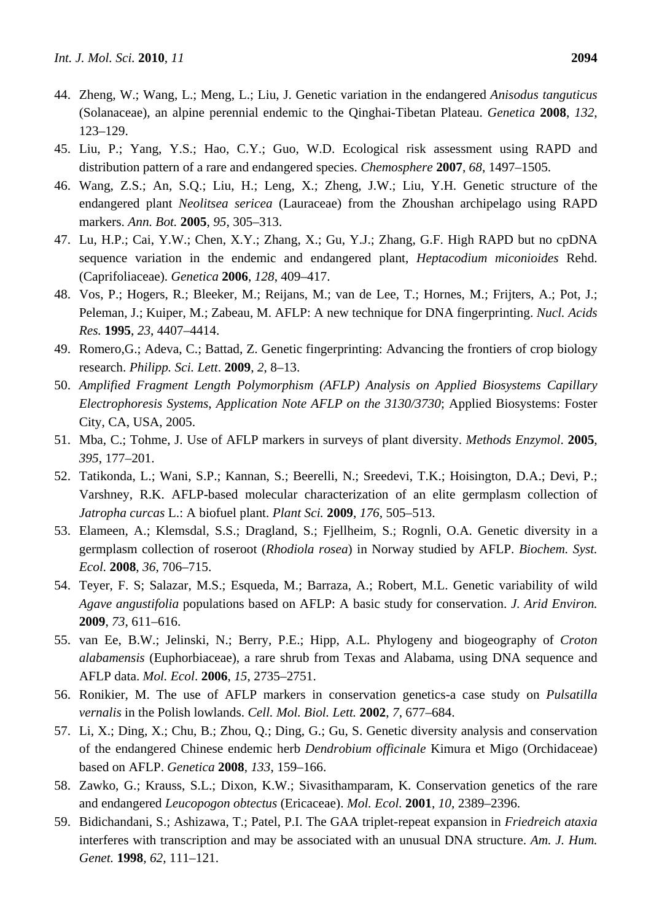- 44. Zheng, W.; Wang, L.; Meng, L.; Liu, J. Genetic variation in the endangered *Anisodus tanguticus* (Solanaceae), an alpine perennial endemic to the Qinghai-Tibetan Plateau. *Genetica* **2008**, *132*, 123–129.
- 45. Liu, P.; Yang, Y.S.; Hao, C.Y.; Guo, W.D. Ecological risk assessment using RAPD and distribution pattern of a rare and endangered species. *Chemosphere* **2007**, *68*, 1497–1505.
- 46. Wang, Z.S.; An, S.Q.; Liu, H.; Leng, X.; Zheng, J.W.; Liu, Y.H. Genetic structure of the endangered plant *Neolitsea sericea* (Lauraceae) from the Zhoushan archipelago using RAPD markers. *Ann. Bot.* **2005**, *95*, 305–313.
- 47. Lu, H.P.; Cai, Y.W.; Chen, X.Y.; Zhang, X.; Gu, Y.J.; Zhang, G.F. High RAPD but no cpDNA sequence variation in the endemic and endangered plant, *Heptacodium miconioides* Rehd. (Caprifoliaceae). *Genetica* **2006**, *128*, 409–417.
- 48. Vos, P.; Hogers, R.; Bleeker, M.; Reijans, M.; van de Lee, T.; Hornes, M.; Frijters, A.; Pot, J.; Peleman, J.; Kuiper, M.; Zabeau, M. AFLP: A new technique for DNA fingerprinting. *Nucl. Acids Res.* **1995**, *23*, 4407–4414.
- 49. Romero,G.; Adeva, C.; Battad, Z. Genetic fingerprinting: Advancing the frontiers of crop biology research. *Philipp. Sci. Lett*. **2009**, *2*, 8–13.
- 50. *Amplified Fragment Length Polymorphism (AFLP) Analysis on Applied Biosystems Capillary Electrophoresis Systems*, *Application Note AFLP on the 3130/3730*; Applied Biosystems: Foster City, CA, USA, 2005.
- 51. Mba, C.; Tohme, J. Use of AFLP markers in surveys of plant diversity. *Methods Enzymol*. **2005**, *395*, 177–201.
- 52. Tatikonda, L.; Wani, S.P.; Kannan, S.; Beerelli, N.; Sreedevi, T.K.; Hoisington, D.A.; Devi, P.; Varshney, R.K. AFLP-based molecular characterization of an elite germplasm collection of *Jatropha curcas* L.: A biofuel plant. *Plant Sci.* **2009**, *176*, 505–513.
- 53. Elameen, A.; Klemsdal, S.S.; Dragland, S.; Fjellheim, S.; Rognli, O.A. Genetic diversity in a germplasm collection of roseroot (*Rhodiola rosea*) in Norway studied by AFLP. *Biochem. Syst. Ecol.* **2008**, *36*, 706–715.
- 54. Teyer, F. S; Salazar, M.S.; Esqueda, M.; Barraza, A.; Robert, M.L. Genetic variability of wild *Agave angustifolia* populations based on AFLP: A basic study for conservation. *J. Arid Environ.*  **2009**, *73*, 611–616.
- 55. van Ee, B.W.; Jelinski, N.; Berry, P.E.; Hipp, A.L. Phylogeny and biogeography of *Croton alabamensis* (Euphorbiaceae), a rare shrub from Texas and Alabama, using DNA sequence and AFLP data. *Mol. Ecol*. **2006**, *15*, 2735–2751.
- 56. Ronikier, M. The use of AFLP markers in conservation genetics-a case study on *Pulsatilla vernalis* in the Polish lowlands. *Cell. Mol. Biol. Lett.* **2002**, *7*, 677–684.
- 57. Li, X.; Ding, X.; Chu, B.; Zhou, Q.; Ding, G.; Gu, S. Genetic diversity analysis and conservation of the endangered Chinese endemic herb *Dendrobium officinale* Kimura et Migo (Orchidaceae) based on AFLP. *Genetica* **2008**, *133*, 159–166.
- 58. Zawko, G.; Krauss, S.L.; Dixon, K.W.; Sivasithamparam, K. Conservation genetics of the rare and endangered *Leucopogon obtectus* (Ericaceae). *Mol. Ecol.* **2001**, *10*, 2389–2396.
- 59. Bidichandani, S.; Ashizawa, T.; Patel, P.I. The GAA triplet-repeat expansion in *Friedreich ataxia* interferes with transcription and may be associated with an unusual DNA structure. *Am. J. Hum. Genet.* **1998**, *62*, 111–121.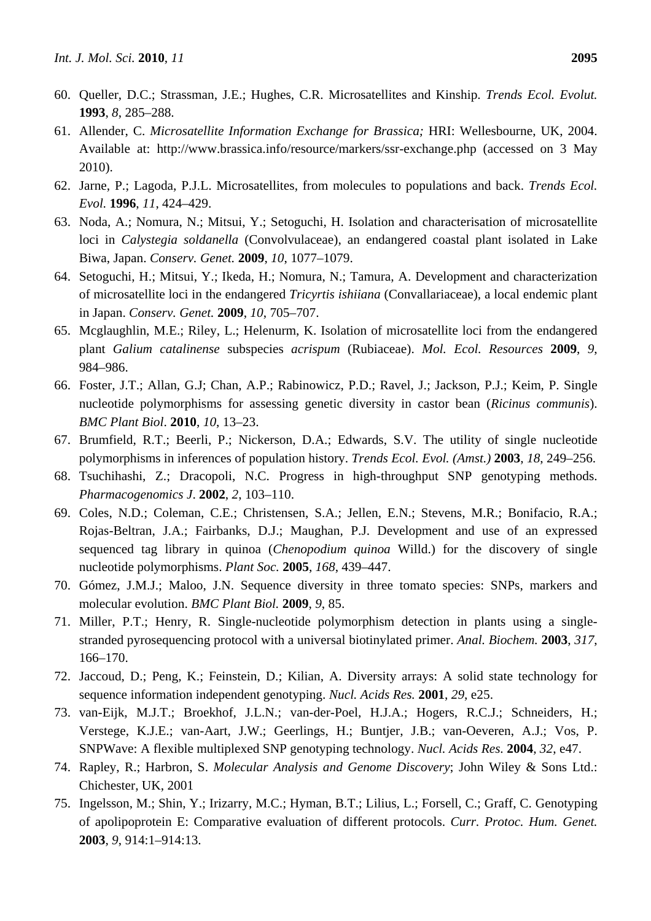- 60. Queller, D.C.; Strassman, J.E.; Hughes, C.R. Microsatellites and Kinship. *Trends Ecol. Evolut.*  **1993**, *8*, 285–288.
- 61. Allender, C. *Microsatellite Information Exchange for Brassica;* HRI: Wellesbourne, UK, 2004. Available at: http://www.brassica.info/resource/markers/ssr-exchange.php (accessed on 3 May 2010).
- 62. Jarne, P.; Lagoda, P.J.L. Microsatellites, from molecules to populations and back. *Trends Ecol. Evol.* **1996**, *11*, 424–429.
- 63. Noda, A.; Nomura, N.; Mitsui, Y.; Setoguchi, H. Isolation and characterisation of microsatellite loci in *Calystegia soldanella* (Convolvulaceae), an endangered coastal plant isolated in Lake Biwa, Japan. *Conserv. Genet.* **2009**, *10*, 1077–1079.
- 64. Setoguchi, H.; Mitsui, Y.; Ikeda, H.; Nomura, N.; Tamura, A. Development and characterization of microsatellite loci in the endangered *Tricyrtis ishiiana* (Convallariaceae), a local endemic plant in Japan. *Conserv. Genet.* **2009**, *10*, 705–707.
- 65. Mcglaughlin, M.E.; Riley, L.; Helenurm, K. Isolation of microsatellite loci from the endangered plant *Galium catalinense* subspecies *acrispum* (Rubiaceae). *Mol. Ecol. Resources* **2009**, *9*, 984–986.
- 66. Foster, J.T.; Allan, G.J; Chan, A.P.; Rabinowicz, P.D.; Ravel, J.; Jackson, P.J.; Keim, P. Single nucleotide polymorphisms for assessing genetic diversity in castor bean (*Ricinus communis*). *BMC Plant Biol*. **2010**, *10*, 13–23.
- 67. Brumfield, R.T.; Beerli, P.; Nickerson, D.A.; Edwards, S.V. The utility of single nucleotide polymorphisms in inferences of population history. *Trends Ecol. Evol. (Amst.)* **2003**, *18*, 249–256.
- 68. Tsuchihashi, Z.; Dracopoli, N.C. Progress in high-throughput SNP genotyping methods. *Pharmacogenomics J*. **2002**, *2*, 103–110.
- 69. Coles, N.D.; Coleman, C.E.; Christensen, S.A.; Jellen, E.N.; Stevens, M.R.; Bonifacio, R.A.; Rojas-Beltran, J.A.; Fairbanks, D.J.; Maughan, P.J. Development and use of an expressed sequenced tag library in quinoa (*Chenopodium quinoa* Willd.) for the discovery of single nucleotide polymorphisms. *Plant Soc.* **2005**, *168*, 439–447.
- 70. Gómez, J.M.J.; Maloo, J.N. Sequence diversity in three tomato species: SNPs, markers and molecular evolution. *BMC Plant Biol.* **2009**, *9*, 85.
- 71. Miller, P.T.; Henry, R. Single-nucleotide polymorphism detection in plants using a singlestranded pyrosequencing protocol with a universal biotinylated primer. *Anal. Biochem.* **2003**, *317*, 166–170.
- 72. Jaccoud, D.; Peng, K.; Feinstein, D.; Kilian, A. Diversity arrays: A solid state technology for sequence information independent genotyping. *Nucl. Acids Res.* **2001**, *29*, e25.
- 73. van-Eijk, M.J.T.; Broekhof, J.L.N.; van-der-Poel, H.J.A.; Hogers, R.C.J.; Schneiders, H.; Verstege, K.J.E.; van-Aart, J.W.; Geerlings, H.; Buntjer, J.B.; van-Oeveren, A.J.; Vos, P. SNPWave: A flexible multiplexed SNP genotyping technology. *Nucl. Acids Res.* **2004**, *32*, e47.
- 74. Rapley, R.; Harbron, S. *Molecular Analysis and Genome Discovery*; John Wiley & Sons Ltd.: Chichester, UK, 2001
- 75. Ingelsson, M.; Shin, Y.; Irizarry, M.C.; Hyman, B.T.; Lilius, L.; Forsell, C.; Graff, C. Genotyping of apolipoprotein E: Comparative evaluation of different protocols. *Curr. Protoc. Hum. Genet.* **2003**, *9*, 914:1–914:13.